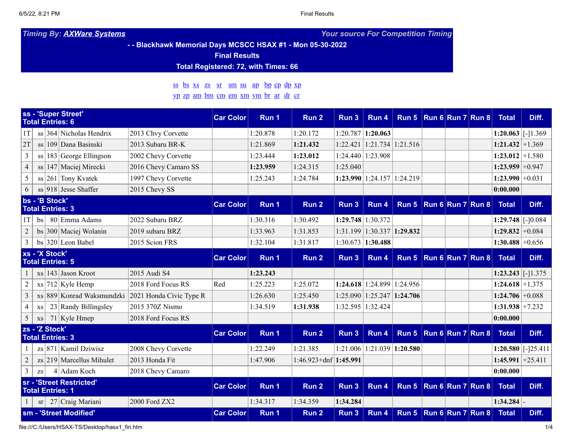*Timing By: AXWare [Systems](http://www.axwaresystems.com/) Your source For Competition Timing*

### **- - Blackhawk Memorial Days MCSCC HSAX #1 - Mon 05-30-2022**

**Final Results**

## **Total Registered: 72, with Times: 66**

# [ss](#page-0-0) [bs](#page-0-1) [xs](#page-0-2) [zs](#page-0-3) [sr](#page-0-4) [sm](#page-0-5) [su](#page-1-0) [ap](#page-1-1) [bp](#page-1-2) [cp](#page-1-3) [dp](#page-1-4) [xp](#page-1-5)

## [yp](#page-1-6) [zp](#page-2-0) [am](#page-2-1) [bm](#page-2-2) [cm](#page-2-3) [em](#page-2-4) [xm](#page-2-5) [ym](#page-2-6) [br](#page-3-0) [ar](#page-3-1) [dr](#page-3-2) [cr](#page-3-3)

<span id="page-0-2"></span><span id="page-0-1"></span><span id="page-0-0"></span>

|                                                     |                 |  | ss - 'Super Street'<br><b>Total Entries: 6</b> |                         | <b>Car Color</b> | Run 1    | Run 2                   | Run 3                   | Run 4                                     | Run 5 Run 6 Run 7 Run 8 |              |       | <b>Total</b>            | Diff. |
|-----------------------------------------------------|-----------------|--|------------------------------------------------|-------------------------|------------------|----------|-------------------------|-------------------------|-------------------------------------------|-------------------------|--------------|-------|-------------------------|-------|
| 1T                                                  |                 |  | $\frac{1}{364}$ Nicholas Hendrix               | 2013 Chvy Corvette      |                  | 1:20.878 | 1:20.172                | 1:20.787                | 1:20.063                                  |                         |              |       | $1:20.063$ [-1.369]     |       |
| 2T                                                  |                 |  | ss 109 Dana Basinski                           | 2013 Subaru BR-K        |                  | 1:21.869 | 1:21.432                | 1:22.421                | $1:21.734$ 1:21.516                       |                         |              |       | $1:21.432 \mid +1.369$  |       |
| $\overline{3}$                                      |                 |  | $ss 183 $ George Ellingson                     | 2002 Chevy Corvette     |                  | 1:23.444 | 1:23.012                |                         | 1:24.440 1:23.908                         |                         |              |       | $1:23.012 \mid +1.580$  |       |
| $\overline{4}$                                      |                 |  | $ss$ 147 Maciej Mirecki                        | 2016 Chevy Camaro SS    |                  | 1:23.959 | 1:24.315                | 1:25.040                |                                           |                         |              |       | $1:23.959 \mid +0.947$  |       |
| 5                                                   |                 |  | $\frac{1}{261}$ Tony Kvatek                    | 1997 Chevy Corvette     |                  | 1:25.243 | 1:24.784                | 1:23.990                | $1:24.157$ 1:24.219                       |                         |              |       | $1:23.990 \mid +0.031$  |       |
| 6                                                   |                 |  | $ss$ 918 Jesse Shaffer                         | 2015 Chevy SS           |                  |          |                         |                         |                                           |                         |              |       | 0:00.000                |       |
| bs - 'B Stock'<br><b>Total Entries: 3</b>           |                 |  | <b>Car Color</b>                               | Run 1                   | Run 2            | Run 3    | Run 4                   | Run 5                   | $\vert$ Run 6 $\vert$ Run 7 $\vert$ Run 8 |                         | <b>Total</b> | Diff. |                         |       |
| 1T                                                  | bs <sub>1</sub> |  | 80 Emma Adams                                  | 2022 Subaru BRZ         |                  | 1:30.316 | 1:30.492                | 1:29.748                | 1:30.372                                  |                         |              |       | $1:29.748$ [-10.084]    |       |
| $\overline{2}$                                      |                 |  | $bs$ 300 Maciej Wolanin                        | 2019 subaru BRZ         |                  | 1:33.963 | 1:31.853                |                         | $1:31.199$   $1:30.337$   <b>1:29.832</b> |                         |              |       | $1:29.832 \mid +0.084$  |       |
| $\overline{\mathbf{3}}$                             |                 |  | $bs$ 320 Leon Babel                            | 2015 Scion FRS          |                  | 1:32.104 | 1:31.817                |                         | $1:30.673$ 1:30.488                       |                         |              |       | $1:30.488 \mid +0.656$  |       |
| xs - 'X Stock'<br><b>Total Entries: 5</b>           |                 |  | <b>Car Color</b>                               | Run 1                   | Run 2            | Run 3    | Run 4                   | Run 5 Run 6 Run 7 Run 8 |                                           |                         | <b>Total</b> | Diff. |                         |       |
|                                                     |                 |  | $x s$ 143 Jason Kroot                          | 2015 Audi S4            |                  | 1:23.243 |                         |                         |                                           |                         |              |       | $1:23.243$ [-1.375]     |       |
| $\overline{2}$                                      |                 |  | $x$ s   712   Kyle Hemp                        | 2018 Ford Focus RS      | Red              | 1:25.223 | 1:25.072                |                         | $1:24.618$ 1:24.899                       | 1:24.956                |              |       | $1:24.618 \mid +1.375$  |       |
| $\overline{\mathbf{3}}$                             |                 |  | $x_s$ 889 Konrad Waksmundzki                   | 2021 Honda Civic Type R |                  | 1:26.630 | 1:25.450                |                         | $1:25.090$   $1:25.247$   <b>1:24.706</b> |                         |              |       | $1:24.706 \mid +0.088$  |       |
| $\overline{4}$                                      | XS              |  | 23 Randy Billingsley                           | 2015 370Z Nismo         |                  | 1:34.519 | 1:31.938                |                         | 1:32.595 1:32.424                         |                         |              |       | $1:31.938 \mid +7.232$  |       |
| 5                                                   | XS              |  | $71$ Kyle Hmep                                 | 2018 Ford Focus RS      |                  |          |                         |                         |                                           |                         |              |       | 0:00.000                |       |
| zs - 'Z Stock'<br><b>Total Entries: 3</b>           |                 |  | <b>Car Color</b>                               | Run 1                   | Run 2            | Run 3    | Run 4                   | Run 5                   | Run 6 Run 7 Run 8                         |                         | <b>Total</b> | Diff. |                         |       |
|                                                     |                 |  | $zs 871 $ Kamil Dziwisz                        | 2008 Chevy Corvette     |                  | 1:22.249 | 1:21.385                | 1:21.006                | $1:21.039$ 1:20.580                       |                         |              |       | $1:20.580$ [-125.411]   |       |
| $\overline{2}$                                      |                 |  | $z_s$ 219 Marcellus Mihulet                    | 2013 Honda Fit          |                  | 1:47.906 | $1:46.923+dnf$ 1:45.991 |                         |                                           |                         |              |       | $1:45.991 \mid +25.411$ |       |
| $\mathfrak{Z}$                                      | <b>ZS</b>       |  | 4 Adam Koch                                    | 2018 Chevy Camaro       |                  |          |                         |                         |                                           |                         |              |       | 0:00.000                |       |
| sr - 'Street Restricted'<br><b>Total Entries: 1</b> |                 |  | <b>Car Color</b>                               | Run 1                   | Run 2            | Run 3    | Run 4                   | Run 5 Run 6 Run 7 Run 8 |                                           |                         | <b>Total</b> | Diff. |                         |       |
|                                                     | <b>sr</b>       |  | 27 Craig Mariani                               | 2000 Ford ZX2           |                  | 1:34.317 | 1:34.359                | 1:34.284                |                                           |                         |              |       | 1:34.284                |       |
| sm - 'Street Modified'                              |                 |  | <b>Car Color</b>                               | Run 1                   | Run 2            | Run 3    | Run 4                   | Run 5 Run 6 Run 7 Run 8 |                                           |                         | <b>Total</b> | Diff. |                         |       |

<span id="page-0-5"></span><span id="page-0-4"></span><span id="page-0-3"></span>file:///C:/Users/HSAX-TS/Desktop/hasx1\_fin.htm 1/4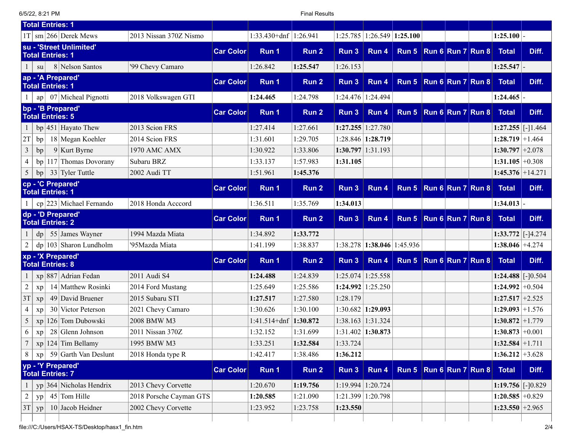6/5/22, 8:21 PM Final Results

<span id="page-1-6"></span><span id="page-1-5"></span><span id="page-1-4"></span><span id="page-1-3"></span><span id="page-1-2"></span><span id="page-1-1"></span><span id="page-1-0"></span>

| <b>Total Entries: 1</b>                                             |                  |                |                  |          |                       |                               |                                           |                                                   |                              |       |
|---------------------------------------------------------------------|------------------|----------------|------------------|----------|-----------------------|-------------------------------|-------------------------------------------|---------------------------------------------------|------------------------------|-------|
| $1T \, \mathrm{cm}$ 266 Derek Mews<br>2013 Nissan 370Z Nismo        |                  | $1:33.430+dnf$ | 1:26.941         | 1:25.785 | $1:26.549$ 1:25.100   |                               |                                           |                                                   | $1:25.100$ -                 |       |
| su - 'Street Unlimited'<br><b>Total Entries: 1</b>                  | <b>Car Color</b> | Run 1          | Run 2            | Run 3    | Run 4                 | Run 5   Run 6   Run 7   Run 8 |                                           |                                                   | <b>Total</b>                 | Diff. |
| 8 Nelson Santos<br>'99 Chevy Camaro<br>su                           |                  | 1:26.842       | 1:25.547         | 1:26.153 |                       |                               |                                           |                                                   | $1:25.547$ -                 |       |
| ap - 'A Prepared'<br><b>Total Entries: 1</b>                        | <b>Car Color</b> | Run 1          | Run 2            | Run 3    | Run 4                 | Run 5                         |                                           | $\vert$ Run 6 $\vert$ Run 7 $\vert$ Run 8 $\vert$ | <b>Total</b>                 | Diff. |
| 07 Micheal Pignotti<br>2018 Volkswagen GTI<br>ap                    |                  | 1:24.465       | 1:24.798         | 1:24.476 | 1:24.494              |                               |                                           |                                                   | $1:24.465$ .                 |       |
| bp - 'B Prepared'<br><b>Total Entries: 5</b>                        | <b>Car Color</b> | Run 1          | Run <sub>2</sub> | Run 3    | Run 4                 | Run 5   Run 6   Run 7   Run 8 |                                           |                                                   | <b>Total</b>                 | Diff. |
| $bp$ 451 Hayato Thew<br>2013 Scion FRS                              |                  | 1:27.414       | 1:27.661         |          | $1:27.255$ 1:27.780   |                               |                                           |                                                   | $1:27.255$ [-]1.464          |       |
| 2014 Scion FRS<br>2T<br>18 Megan Koehler<br>bp                      |                  | 1:31.601       | 1:29.705         |          | 1:28.846 1:28.719     |                               |                                           |                                                   | $1:28.719 \mid +1.464$       |       |
| $\mathfrak{Z}$<br>$9$ Kurt Byrne<br>1970 AMC AMX<br>bp              |                  | 1:30.922       | 1:33.806         |          | $1:30.797$ 1:31.193   |                               |                                           |                                                   | $1:30.797 \mid +2.078$       |       |
| $bp \mid 117$ Thomas Dovorany<br>Subaru BRZ<br>4                    |                  | 1:33.137       | 1:57.983         | 1:31.105 |                       |                               |                                           |                                                   | $1:31.105 \mid +0.308$       |       |
| 5<br>$33$ Tyler Tuttle<br>2002 Audi TT<br>bp                        |                  | 1:51.961       | 1:45.376         |          |                       |                               |                                           |                                                   | $1:45.376 \mid +14.271$      |       |
| cp - 'C Prepared'<br><b>Total Entries: 1</b>                        | <b>Car Color</b> | Run 1          | Run <sub>2</sub> | Run 3    | Run 4                 | Run 5                         | $\vert$ Run 6 $\vert$ Run 7 $\vert$ Run 8 |                                                   | <b>Total</b>                 | Diff. |
| $cp$ 223 Michael Fernando<br>2018 Honda Acccord                     |                  | 1:36.511       | 1:35.769         | 1:34.013 |                       |                               |                                           |                                                   | 1:34.013                     |       |
| dp - 'D Prepared'<br><b>Total Entries: 2</b>                        | <b>Car Color</b> | Run 1          | Run 2            | Run 3    | Run 4                 | Run 5                         | $\vert$ Run 6 $\vert$ Run 7 $\vert$ Run 8 |                                                   | <b>Total</b>                 | Diff. |
| 55 James Wayner<br>1994 Mazda Miata<br>dp                           |                  | 1:34.892       | 1:33.772         |          |                       |                               |                                           |                                                   | $1:33.772$ [-]4.274          |       |
| $dp$   103   Sharon Lundholm<br>'95Mazda Miata                      |                  | 1:41.199       | 1:38.837         | 1:38.278 | $1:38.046$ 1:45.936   |                               |                                           |                                                   | $1:38.046 \mid +4.274$       |       |
| xp - 'X Prepared'<br><b>Total Entries: 8</b>                        | <b>Car Color</b> | Run 1          | Run 2            | Run 3    | Run 4                 | Run 5                         |                                           | $\vert$ Run 6 $\vert$ Run 7 $\vert$ Run 8         | <b>Total</b>                 | Diff. |
| xp 887 Adrian Fedan<br>2011 Audi S4                                 |                  | 1:24.488       | 1:24.839         |          | $1:25.074$   1:25.558 |                               |                                           |                                                   | $1:24.488$ [-]0.504          |       |
| 14 Matthew Rosinki<br>$\overline{2}$<br>2014 Ford Mustang<br>xp     |                  | 1:25.649       | 1:25.586         |          | $1:24.992$   1:25.250 |                               |                                           |                                                   | $1:24.992 \mid +0.504$       |       |
| $49$ David Bruener<br>2015 Subaru STI<br>3T<br>xp                   |                  | 1:27.517       | 1:27.580         | 1:28.179 |                       |                               |                                           |                                                   | $1:27.517$ +2.525            |       |
| 30 Victor Peterson<br>2021 Chevy Camaro<br>4<br>xp                  |                  | 1:30.626       | 1:30.100         |          | $1:30.682$   1:29.093 |                               |                                           |                                                   | $1:29.093 \mid +1.576$       |       |
| 5<br>126 Tom Dubowski<br>2008 BMW M3<br>xp                          |                  | $1:41.514+dnf$ | 1:30.872         |          | 1:38.163 1:31.324     |                               |                                           |                                                   | $1:30.872 \mid +1.779$       |       |
| 6<br>$28$ Glenn Johnson<br>2011 Nissan 370Z<br>xp                   |                  | 1:32.152       | 1:31.699         |          | $1:31.402$ 1:30.873   |                               |                                           |                                                   | $1:30.873 \mid +0.001$       |       |
| $xp 124 $ Tim Bellamy<br>1995 BMW M3                                |                  | 1:33.251       | 1:32.584         | 1:33.724 |                       |                               |                                           |                                                   | $\overline{1:}32.584$ +1.711 |       |
| 59 Garth Van Deslunt<br>2018 Honda type R<br>8<br>x p               |                  | 1:42.417       | 1:38.486         | 1:36.212 |                       |                               |                                           |                                                   | $1:36.212 \mid +3.628$       |       |
| yp - 'Y Prepared'<br><b>Total Entries: 7</b>                        | <b>Car Color</b> | Run 1          | Run 2            | Run 3    | Run 4                 | Run 5   Run 6   Run 7   Run 8 |                                           |                                                   | <b>Total</b>                 | Diff. |
| $yp 364 $ Nicholas Hendrix<br>2013 Chevy Corvette                   |                  | 1:20.670       | 1:19.756         |          | $1:19.994$   1:20.724 |                               |                                           |                                                   | 1:19.756 [-]0.829            |       |
| $\boldsymbol{2}$<br>$45$ Tom Hille<br>2018 Porsche Cayman GTS<br>yp |                  | 1:20.585       | 1:21.090         |          | 1:21.399 1:20.798     |                               |                                           |                                                   | $1:20.585 \pm 0.829$         |       |
| 3T<br>$10$ Jacob Heidner<br>2002 Chevy Corvette<br>yp               |                  | 1:23.952       | 1:23.758         | 1:23.550 |                       |                               |                                           |                                                   | $1:23.550 \mid +2.965$       |       |
|                                                                     |                  |                |                  |          |                       |                               |                                           |                                                   |                              |       |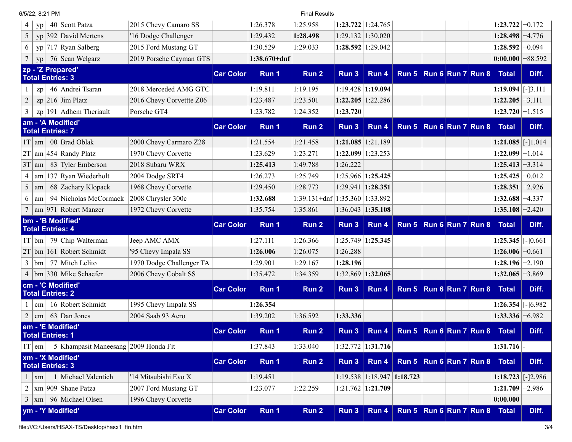<span id="page-2-6"></span><span id="page-2-5"></span><span id="page-2-4"></span><span id="page-2-3"></span><span id="page-2-2"></span><span id="page-2-1"></span><span id="page-2-0"></span>

| 6/5/22, 8:21 PM                                               |                          |                  | <b>Final Results</b>    |          |                                  |                                               |                                           |                                                   |                        |       |
|---------------------------------------------------------------|--------------------------|------------------|-------------------------|----------|----------------------------------|-----------------------------------------------|-------------------------------------------|---------------------------------------------------|------------------------|-------|
| 40 Scott Patza<br>4<br>yp                                     | 2015 Chevy Camaro SS     | 1:26.378         | 1:25.958                |          | $1:23.722$   1:24.765            |                                               |                                           |                                                   | $1:23.722 \mid +0.172$ |       |
| yp 392 David Mertens<br>5                                     | '16 Dodge Challenger     | 1:29.432         | 1:28.498                |          | $1:29.132$   $1:30.020$          |                                               |                                           |                                                   | $1:28.498 \mid +4.776$ |       |
| $yp 717 $ Ryan Salberg<br>6                                   | 2015 Ford Mustang GT     | 1:30.529         | 1:29.033                |          | $1:28.592$   1:29.042            |                                               |                                           |                                                   | $1:28.592 \mid +0.094$ |       |
| 76 Sean Welgarz<br>yp                                         | 2019 Porsche Cayman GTS  | $1:38.670 + dnf$ |                         |          |                                  |                                               |                                           |                                                   | $0:00.000$ +88.592     |       |
| zp - 'Z Prepared'<br><b>Total Entries: 3</b>                  | <b>Car Color</b>         | Run 1            | Run 2                   | Run 3    | Run 4                            | Run 5                                         |                                           | $\vert$ Run 6 $\vert$ Run 7 $\vert$ Run 8 $\vert$ | <b>Total</b>           | Diff. |
| 46 Andrei Tsaran<br>zp                                        | 2018 Merceded AMG GTC    | 1:19.811         | 1:19.195                |          | $1:19.428$ 1:19.094              |                                               |                                           |                                                   | $1:19.094$ [-13.111]   |       |
| $\overline{2}$<br>$zp$ 216 Jim Platz                          | 2016 Chevy Corvettte Z06 | 1:23.487         | 1:23.501                |          | $1:22.205 \mid 1:22.286$         |                                               |                                           |                                                   | $1:22.205 \mid +3.111$ |       |
| 3<br>$zp$ 191 Adhem Theriault                                 | Porsche GT4              | 1:23.782         | 1:24.352                | 1:23.720 |                                  |                                               |                                           |                                                   | $1:23.720 \mid +1.515$ |       |
| am - 'A Modified'<br><b>Total Entries: 7</b>                  | <b>Car Color</b>         | Run 1            | Run 2                   | Run 3    | Run 4                            | Run 5                                         |                                           | $\vert$ Run 6 $\vert$ Run 7 $\vert$ Run 8 $\vert$ | <b>Total</b>           | Diff. |
| 00 Brad Oblak<br>$ 1T $ am                                    | 2000 Chevy Carmaro Z28   | 1:21.554         | 1:21.458                | 1:21.085 | 1:21.189                         |                                               |                                           |                                                   | $1:21.085$ [-]1.014    |       |
| $am 454 $ Randy Platz<br>2T                                   | 1970 Chevy Corvette      | 1:23.629         | 1:23.271                |          | $1:22.099$ 1:23.253              |                                               |                                           |                                                   | $1:22.099 \mid +1.014$ |       |
| 83 Tyler Emberson<br>3T<br>  am                               | 2018 Subaru WRX          | 1:25.413         | 1:49.788                | 1:26.222 |                                  |                                               |                                           |                                                   | $1:25.413 \mid +3.314$ |       |
| $am$   137 Ryan Wiederholt<br>4                               | 2004 Dodge SRT4          | 1:26.273         | 1:25.749                | 1:25.966 | 1:25.425                         |                                               |                                           |                                                   | $1:25.425 \mid +0.012$ |       |
| $\mathfrak s$<br>68 Zachary Klopack<br>am                     | 1968 Chevy Corvette      | 1:29.450         | 1:28.773                | 1:29.941 | 1:28.351                         |                                               |                                           |                                                   | $1:28.351 \mid +2.926$ |       |
| 94 Nicholas McCormack<br>6<br>am                              | 2008 Chrysler 300c       | 1:32.688         | $1:39.131+dnf$ 1:35.360 |          | 1:33.892                         |                                               |                                           |                                                   | $1:32.688 \mid +4.337$ |       |
|                                                               | 1972 Chevy Corvette      | 1:35.754         | 1:35.861                |          | $1:36.043$   1:35.108            |                                               |                                           |                                                   | $1:35.108 \mid +2.420$ |       |
| $\frac{1}{2}$   Robert Manzer                                 |                          |                  |                         |          |                                  |                                               |                                           |                                                   |                        |       |
| bm - 'B Modified'<br><b>Total Entries: 4</b>                  | <b>Car Color</b>         | Run 1            | Run 2                   | Run 3    | Run 4                            | Run 5                                         | $\vert$ Run 6 $\vert$ Run 7 $\vert$ Run 8 |                                                   | <b>Total</b>           | Diff. |
| 79 Chip Walterman<br>$1T$  bm                                 | Jeep AMC AMX             | 1:27.111         | 1:26.366                |          | 1:25.749 1:25.345                |                                               |                                           |                                                   | $1:25.345$ [-10.661]   |       |
| $2T$ bm 161 Robert Schmidt                                    | '95 Chevy Impala SS      | 1:26.006         | 1:26.075                | 1:26.288 |                                  |                                               |                                           |                                                   | $1:26.006 \mid +0.661$ |       |
| 77 Mitch Lelito<br>3<br>bm                                    | 1970 Dodge Challenger TA | 1:29.901         | 1:29.167                | 1:28.196 |                                  |                                               |                                           |                                                   | $1:28.196 \mid +2.190$ |       |
| $ bm 330 $ Mike Schaefer                                      | 2006 Chevy Cobalt SS     | 1:35.472         | 1:34.359                |          | 1:32.869 1:32.065                |                                               |                                           |                                                   | $1:32.065 \mid +3.869$ |       |
| cm - 'C Modified'<br><b>Total Entries: 2</b>                  | <b>Car Color</b>         | Run 1            | Run 2                   | Run 3    | Run 4                            | Run 5                                         | $\vert$ Run 6 $\vert$ Run 7 $\vert$ Run 8 |                                                   | <b>Total</b>           | Diff. |
| 16 Robert Schmidt<br>cm                                       | 1995 Chevy Impala SS     | 1:26.354         |                         |          |                                  |                                               |                                           |                                                   | $1:26.354$ [-16.982]   |       |
| $63$ Dan Jones<br>$\overline{2}$<br>cm                        | 2004 Saab 93 Aero        | 1:39.202         | 1:36.592                | 1:33.336 |                                  |                                               |                                           |                                                   | $1:33.336 +6.982$      |       |
| em - 'E Modified'<br><b>Total Entries: 1</b>                  | <b>Car Color</b>         | Run 1            | Run 2                   | Run $3$  |                                  | Run 4   Run 5   Run 6   Run 7   Run 8   Total |                                           |                                                   |                        | Diff. |
| 5 Khampasit Maneesang 2009 Honda Fit<br>$ 1T $ em             |                          | 1:37.843         | 1:33.040                |          | 1:32.772 1:31.716                |                                               |                                           |                                                   | $1:31.716$ -           |       |
| xm - 'X Modified'<br><b>Total Entries: 3</b>                  | <b>Car Color</b>         | Run 1            | Run 2                   | Run 3    | Run 4                            | Run 5 Run 6 Run 7 Run 8                       |                                           |                                                   | <b>Total</b>           | Diff. |
| 1 Michael Valentich<br>$\mathbf{1}$<br>  xm                   | '14 Mitsubishi Evo X     | 1:19.451         |                         |          | $1:19.538$   1:18.947   1:18.723 |                                               |                                           |                                                   | $1:18.723$ [-12.986]   |       |
| xm  909 Shane Patza<br>$\overline{c}$                         | 2007 Ford Mustang GT     | 1:23.077         | 1:22.259                |          | $1:21.762$   1:21.709            |                                               |                                           |                                                   | $1:21.709$ +2.986      |       |
| $\mathfrak{Z}$<br>96 Michael Olsen<br>xm<br>ym - 'Y Modified' | 1996 Chevy Corvette      |                  |                         |          |                                  |                                               |                                           |                                                   | 0:00.000               | Diff. |